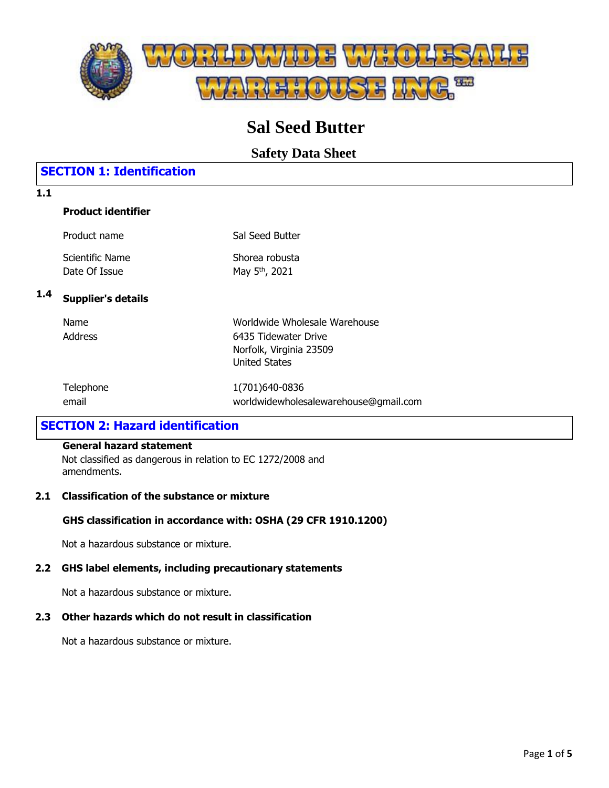

# **Sal Seed Butter**

**Safety Data Sheet**

# **SECTION 1: Identification**

### **Product identifier**

| Product name    | Sal Seed Butter            |
|-----------------|----------------------------|
| Scientific Name | Shorea robusta             |
| Date Of Issue   | May 5 <sup>th</sup> , 2021 |

# **1.4 Supplier's details**

| Name    |  |
|---------|--|
| Address |  |

Worldwide Wholesale Warehouse 6435 Tidewater Drive Norfolk, Virginia 23509 United States

| Telephone | 1(701)640-0836                        |
|-----------|---------------------------------------|
| email     | worldwidewholesalewarehouse@gmail.com |

# **SECTION 2: Hazard identification**

### **General hazard statement**

Not classified as dangerous in relation to EC 1272/2008 and amendments.

### **2.1 Classification of the substance or mixture**

### **GHS classification in accordance with: OSHA (29 CFR 1910.1200)**

Not a hazardous substance or mixture.

### **2.2 GHS label elements, including precautionary statements**

Not a hazardous substance or mixture.

### **2.3 Other hazards which do not result in classification**

Not a hazardous substance or mixture.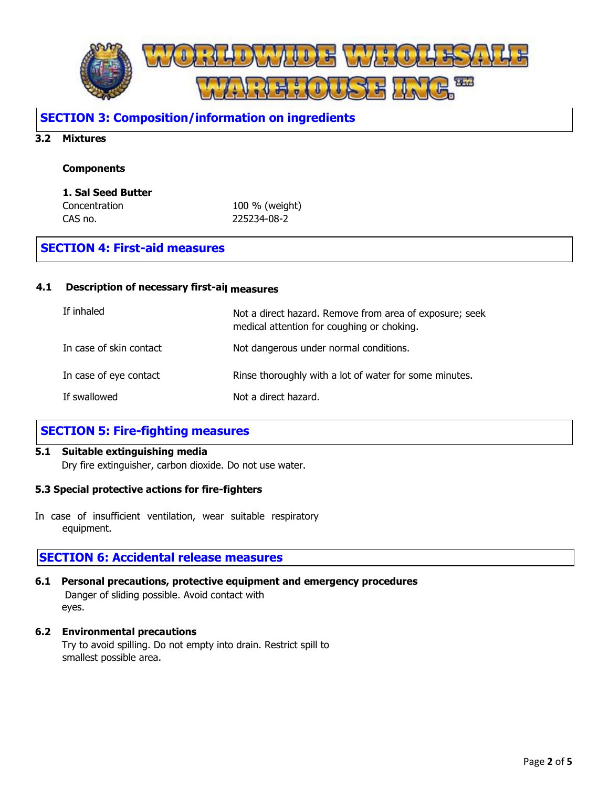

### **SECTION 3: Composition/information on ingredients**

#### **3.2 Mixtures**

#### **Components**

#### **1. Sal Seed Butter**

Concentration 100 % (weight) CAS no. 225234-08-2

### **SECTION 4: First-aid measures**

#### **4.1** Description of necessary first-ai<sub>l measures</sub>

| If inhaled              | Not a direct hazard. Remove from area of exposure; seek<br>medical attention for coughing or choking. |
|-------------------------|-------------------------------------------------------------------------------------------------------|
| In case of skin contact | Not dangerous under normal conditions.                                                                |
| In case of eye contact  | Rinse thoroughly with a lot of water for some minutes.                                                |
| If swallowed            | Not a direct hazard.                                                                                  |

### **SECTION 5: Fire-fighting measures**

#### **5.1 Suitable extinguishing media**

Dry fire extinguisher, carbon dioxide. Do not use water.

#### **5.3 Special protective actions for fire-fighters**

In case of insufficient ventilation, wear suitable respiratory equipment.

### **SECTION 6: Accidental release measures**

**6.1 Personal precautions, protective equipment and emergency procedures** Danger of sliding possible. Avoid contact with eyes.

#### **6.2 Environmental precautions**

Try to avoid spilling. Do not empty into drain. Restrict spill to smallest possible area.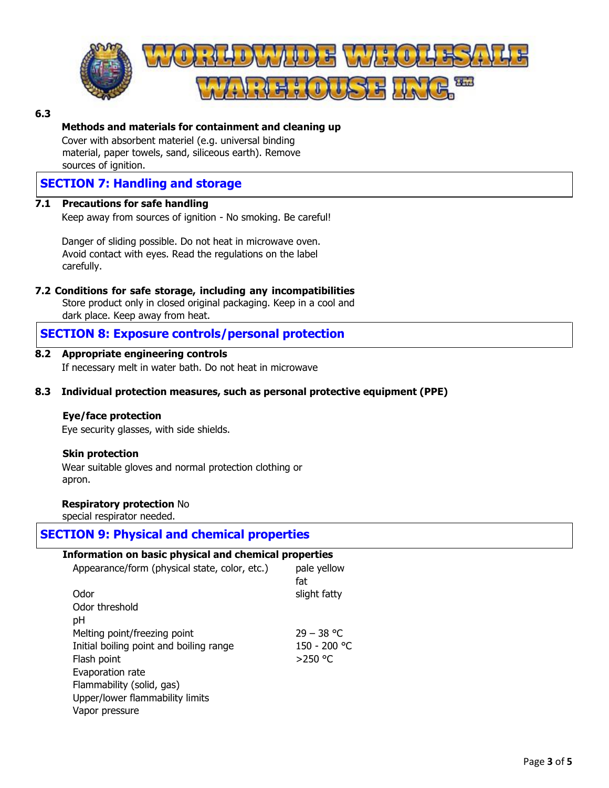

#### **6.3**

### **Methods and materials for containment and cleaning up**

Cover with absorbent materiel (e.g. universal binding material, paper towels, sand, siliceous earth). Remove sources of ignition.

## **SECTION 7: Handling and storage**

#### **7.1 Precautions for safe handling**

Keep away from sources of ignition - No smoking. Be careful!

Danger of sliding possible. Do not heat in microwave oven. Avoid contact with eyes. Read the regulations on the label carefully.

#### **7.2 Conditions for safe storage, including any incompatibilities**

Store product only in closed original packaging. Keep in a cool and dark place. Keep away from heat.

### **SECTION 8: Exposure controls/personal protection**

#### **8.2 Appropriate engineering controls**

If necessary melt in water bath. Do not heat in microwave

#### **8.3 Individual protection measures, such as personal protective equipment (PPE)**

#### **Eye/face protection**

Eye security glasses, with side shields.

#### **Skin protection**

Wear suitable gloves and normal protection clothing or apron.

#### **Respiratory protection** No

special respirator needed.

### **SECTION 9: Physical and chemical properties**

#### **Information on basic physical and chemical properties** Appearance/form (physical state, color, etc.) pale yellow fat Odor Odor threshold pH slight fatty Melting point/freezing point  $29 - 38$  °C Initial boiling point and boiling range 150 - 200 °C Flash point  $>250$  °C

Evaporation rate Flammability (solid, gas) Upper/lower flammability limits Vapor pressure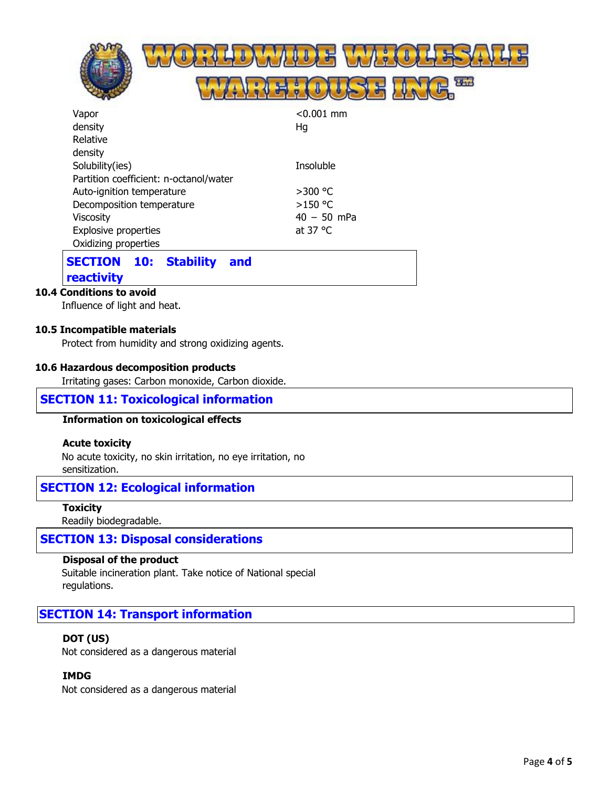|                           |                                        | 24.7         |
|---------------------------|----------------------------------------|--------------|
| Vapor                     |                                        | $< 0.001$ mm |
| density                   |                                        | Hg           |
| Relative                  |                                        |              |
| density                   |                                        |              |
| Solubility(ies)           |                                        | Insoluble    |
|                           | Partition coefficient: n-octanol/water |              |
| Auto-ignition temperature |                                        | >300 °C      |
| Decomposition temperature |                                        | $>150$ °C    |

#### Viscosity Explosive properties Oxidizing properties 40 – 50 mPa at 37 °C

### **SECTION 10: Stability and reactivity**

### **10.4 Conditions to avoid**

Influence of light and heat.

### **10.5 Incompatible materials**

Protect from humidity and strong oxidizing agents.

#### **10.6 Hazardous decomposition products**

Irritating gases: Carbon monoxide, Carbon dioxide.

### **SECTION 11: Toxicological information**

#### **Information on toxicological effects**

#### **Acute toxicity**

No acute toxicity, no skin irritation, no eye irritation, no sensitization.

### **SECTION 12: Ecological information**

**Toxicity**

Readily biodegradable.

### **SECTION 13: Disposal considerations**

#### **Disposal of the product**

Suitable incineration plant. Take notice of National special regulations.

### **SECTION 14: Transport information**

#### **DOT (US)**

Not considered as a dangerous material

### **IMDG**

Not considered as a dangerous material